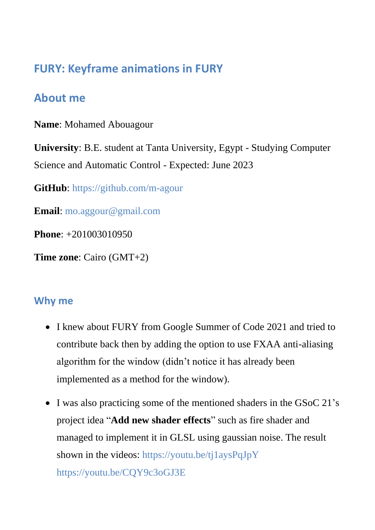# **FURY: Keyframe animations in FURY**

# **About me**

**Name**: Mohamed Abouagour

**University**: B.E. student at Tanta University, Egypt - Studying Computer Science and Automatic Control - Expected: June 2023

**GitHub**:<https://github.com/m-agour>

**Email**: [mo.aggour@gmail.com](mailto:mo.aggour@gmail.com)

**Phone**: +201003010950

**Time zone**: Cairo (GMT+2)

## **Why me**

- I knew about FURY from Google Summer of Code 2021 and tried to contribute back then by adding the option to use FXAA anti-aliasing algorithm for the window (didn't notice it has already been implemented as a method for the window).
- I was also practicing some of the mentioned shaders in the GSoC 21's project idea "**Add new shader effects**" such as fire shader and managed to implement it in GLSL using gaussian noise. The result shown in the videos: <https://youtu.be/tj1aysPqJpY> <https://youtu.be/CQY9c3oGJ3E>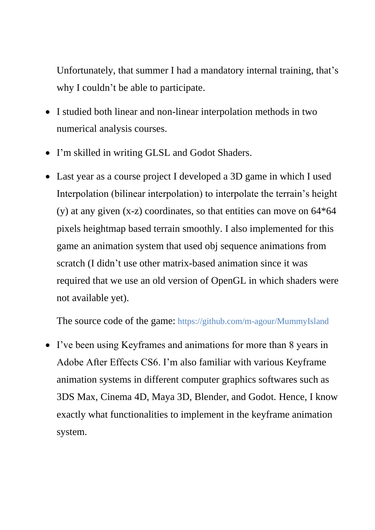Unfortunately, that summer I had a mandatory internal training, that's why I couldn't be able to participate.

- I studied both linear and non-linear interpolation methods in two numerical analysis courses.
- I'm skilled in writing GLSL and Godot Shaders.
- Last year as a course project I developed a 3D game in which I used Interpolation (bilinear interpolation) to interpolate the terrain's height (y) at any given  $(x-z)$  coordinates, so that entities can move on  $64*64$ pixels heightmap based terrain smoothly. I also implemented for this game an animation system that used obj sequence animations from scratch (I didn't use other matrix-based animation since it was required that we use an old version of OpenGL in which shaders were not available yet).

The source code of the game: <https://github.com/m-agour/MummyIsland>

• I've been using Keyframes and animations for more than 8 years in Adobe After Effects CS6. I'm also familiar with various Keyframe animation systems in different computer graphics softwares such as 3DS Max, Cinema 4D, Maya 3D, Blender, and Godot. Hence, I know exactly what functionalities to implement in the keyframe animation system.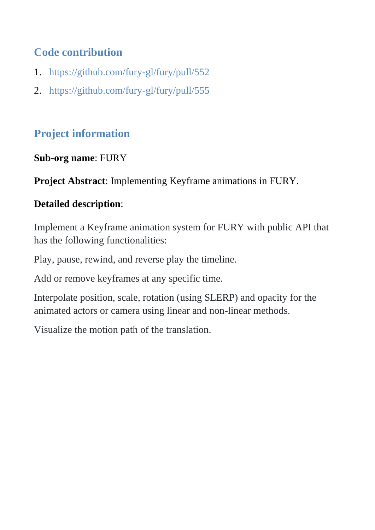# **Code contribution**

- 1. <https://github.com/fury-gl/fury/pull/552>
- 2. <https://github.com/fury-gl/fury/pull/555>

# **Project information**

## **Sub-org name**: FURY

**Project Abstract**: Implementing Keyframe animations in FURY.

## **Detailed description**:

Implement a Keyframe animation system for FURY with public API that has the following functionalities:

Play, pause, rewind, and reverse play the timeline.

Add or remove keyframes at any specific time.

Interpolate position, scale, rotation (using SLERP) and opacity for the animated actors or camera using linear and non-linear methods.

Visualize the motion path of the translation.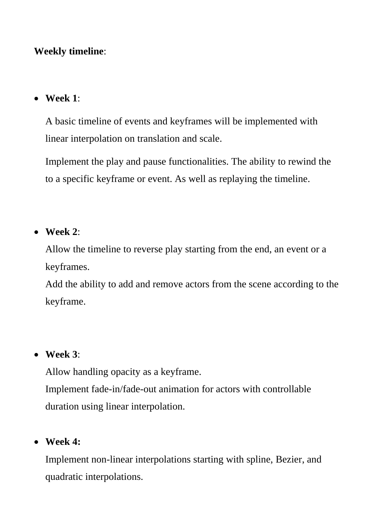#### **Weekly timeline**:

#### • **Week 1**:

A basic timeline of events and keyframes will be implemented with linear interpolation on translation and scale.

Implement the play and pause functionalities. The ability to rewind the to a specific keyframe or event. As well as replaying the timeline.

#### • **Week 2**:

Allow the timeline to reverse play starting from the end, an event or a keyframes.

Add the ability to add and remove actors from the scene according to the keyframe.

#### • **Week 3**:

Allow handling opacity as a keyframe. Implement fade-in/fade-out animation for actors with controllable duration using linear interpolation.

## • **Week 4:**

Implement non-linear interpolations starting with spline, Bezier, and quadratic interpolations.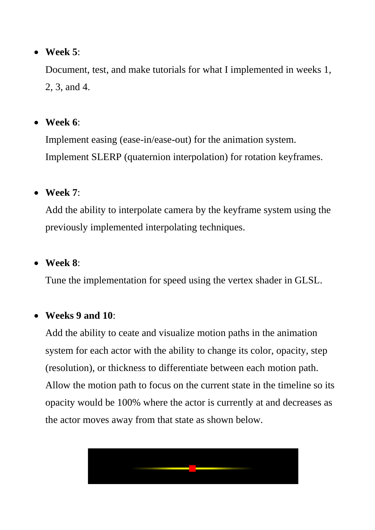## • **Week 5**:

Document, test, and make tutorials for what I implemented in weeks 1, 2, 3, and 4.

## • **Week 6**:

Implement easing (ease-in/ease-out) for the animation system. Implement SLERP (quaternion interpolation) for rotation keyframes.

## • **Week 7**:

Add the ability to interpolate camera by the keyframe system using the previously implemented interpolating techniques.

### • **Week 8**:

Tune the implementation for speed using the vertex shader in GLSL.

#### • **Weeks 9 and 10**:

Add the ability to ceate and visualize motion paths in the animation system for each actor with the ability to change its color, opacity, step (resolution), or thickness to differentiate between each motion path. Allow the motion path to focus on the current state in the timeline so its opacity would be 100% where the actor is currently at and decreases as the actor moves away from that state as shown below.